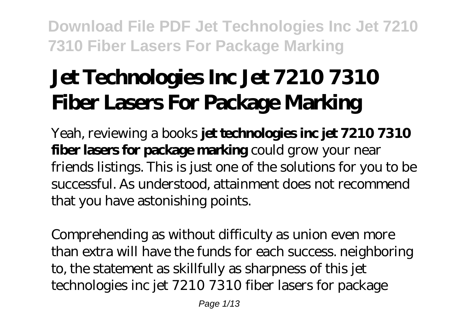# **Jet Technologies Inc Jet 7210 7310 Fiber Lasers For Package Marking**

Yeah, reviewing a books **jet technologies inc jet 7210 7310 fiber lasers for package marking** could grow your near friends listings. This is just one of the solutions for you to be successful. As understood, attainment does not recommend that you have astonishing points.

Comprehending as without difficulty as union even more than extra will have the funds for each success. neighboring to, the statement as skillfully as sharpness of this jet technologies inc jet 7210 7310 fiber lasers for package

Page 1/13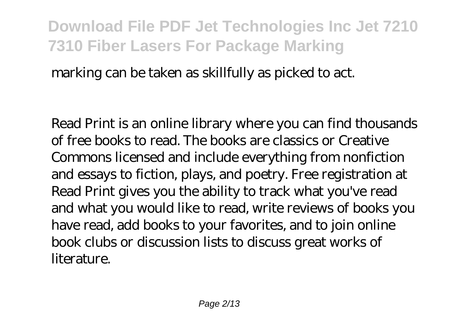marking can be taken as skillfully as picked to act.

Read Print is an online library where you can find thousands of free books to read. The books are classics or Creative Commons licensed and include everything from nonfiction and essays to fiction, plays, and poetry. Free registration at Read Print gives you the ability to track what you've read and what you would like to read, write reviews of books you have read, add books to your favorites, and to join online book clubs or discussion lists to discuss great works of literature.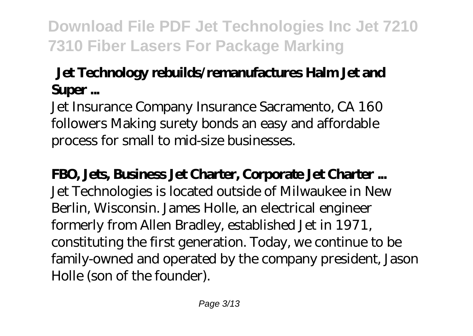### **Jet Technology rebuilds/remanufactures Halm Jet and Super ...**

Jet Insurance Company Insurance Sacramento, CA 160 followers Making surety bonds an easy and affordable process for small to mid-size businesses.

**FBO, Jets, Business Jet Charter, Corporate Jet Charter ...** Jet Technologies is located outside of Milwaukee in New Berlin, Wisconsin. James Holle, an electrical engineer formerly from Allen Bradley, established Jet in 1971, constituting the first generation. Today, we continue to be family-owned and operated by the company president, Jason Holle (son of the founder).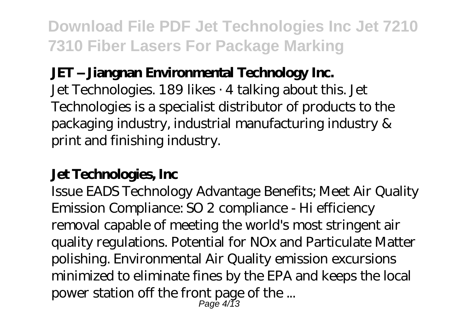#### **JET – Jiangnan Environmental Technology Inc.**

Jet Technologies. 189 likes · 4 talking about this. Jet Technologies is a specialist distributor of products to the packaging industry, industrial manufacturing industry & print and finishing industry.

### **Jet Technologies, Inc**

Issue EADS Technology Advantage Benefits; Meet Air Quality Emission Compliance: SO 2 compliance - Hi efficiency removal capable of meeting the world's most stringent air quality regulations. Potential for NOx and Particulate Matter polishing. Environmental Air Quality emission excursions minimized to eliminate fines by the EPA and keeps the local power station off the front page of the ... Page 4/13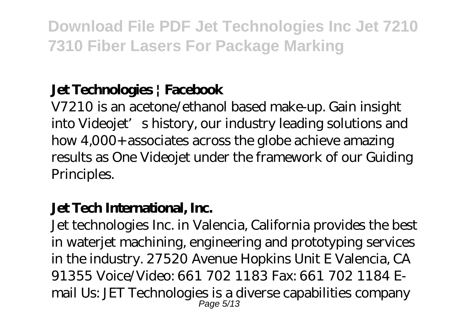### **Jet Technologies | Facebook**

V7210 is an acetone/ethanol based make-up. Gain insight into Videojet's history, our industry leading solutions and how 4,000+ associates across the globe achieve amazing results as One Videojet under the framework of our Guiding Principles.

#### **Jet Tech International, Inc.**

Jet technologies Inc. in Valencia, California provides the best in waterjet machining, engineering and prototyping services in the industry. 27520 Avenue Hopkins Unit E Valencia, CA 91355 Voice/Video: 661 702 1183 Fax: 661 702 1184 Email Us: JET Technologies is a diverse capabilities company Page 5/13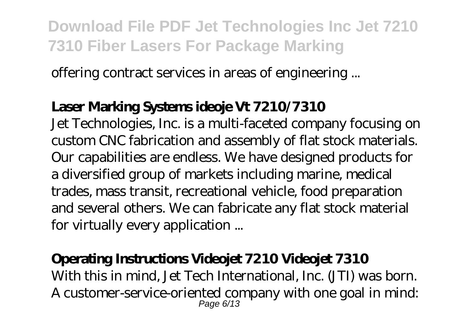offering contract services in areas of engineering ...

#### **Laser Marking Systems ideoje Vt 7210/7310**

Jet Technologies, Inc. is a multi-faceted company focusing on custom CNC fabrication and assembly of flat stock materials. Our capabilities are endless. We have designed products for a diversified group of markets including marine, medical trades, mass transit, recreational vehicle, food preparation and several others. We can fabricate any flat stock material for virtually every application ...

#### **Operating Instructions Videojet 7210 Videojet 7310**

With this in mind, Jet Tech International, Inc. (JTI) was born. A customer-service-oriented company with one goal in mind: Page 6/13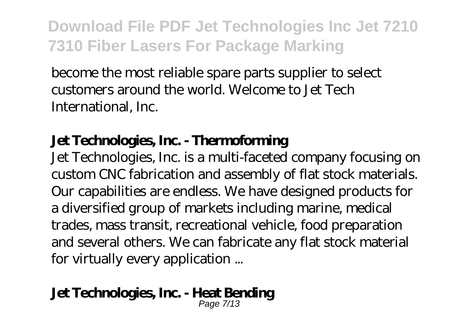become the most reliable spare parts supplier to select customers around the world. Welcome to Jet Tech International, Inc.

### **Jet Technologies, Inc. - Thermoforming**

Jet Technologies, Inc. is a multi-faceted company focusing on custom CNC fabrication and assembly of flat stock materials. Our capabilities are endless. We have designed products for a diversified group of markets including marine, medical trades, mass transit, recreational vehicle, food preparation and several others. We can fabricate any flat stock material for virtually every application ...

#### **Jet Technologies, Inc. - Heat Bending**

Page 7/13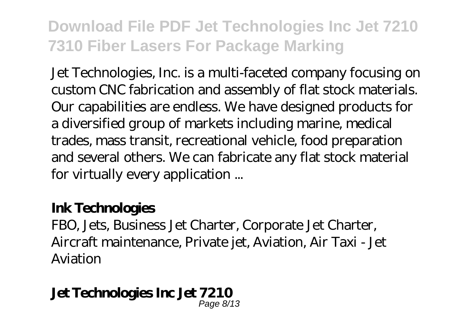Jet Technologies, Inc. is a multi-faceted company focusing on custom CNC fabrication and assembly of flat stock materials. Our capabilities are endless. We have designed products for a diversified group of markets including marine, medical trades, mass transit, recreational vehicle, food preparation and several others. We can fabricate any flat stock material for virtually every application ...

#### **Ink Technologies**

FBO, Jets, Business Jet Charter, Corporate Jet Charter, Aircraft maintenance, Private jet, Aviation, Air Taxi - Jet Aviation

### **Jet Technologies Inc Jet 7210**

Page 8/13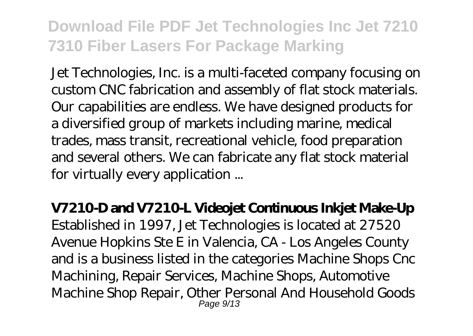Jet Technologies, Inc. is a multi-faceted company focusing on custom CNC fabrication and assembly of flat stock materials. Our capabilities are endless. We have designed products for a diversified group of markets including marine, medical trades, mass transit, recreational vehicle, food preparation and several others. We can fabricate any flat stock material for virtually every application ...

**V7210-D and V7210-L Videojet Continuous Inkjet Make-Up**

Established in 1997, Jet Technologies is located at 27520 Avenue Hopkins Ste E in Valencia, CA - Los Angeles County and is a business listed in the categories Machine Shops Cnc Machining, Repair Services, Machine Shops, Automotive Machine Shop Repair, Other Personal And Household Goods Page 9/13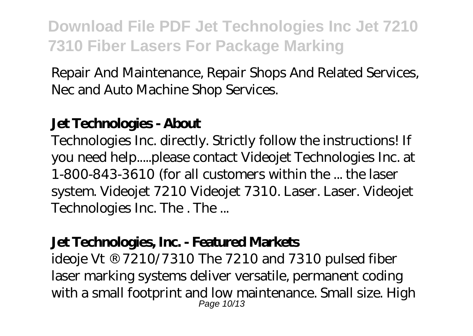Repair And Maintenance, Repair Shops And Related Services, Nec and Auto Machine Shop Services.

#### **Jet Technologies - About**

Technologies Inc. directly. Strictly follow the instructions! If you need help.....please contact Videojet Technologies Inc. at 1-800-843-3610 (for all customers within the ... the laser system. Videojet 7210 Videojet 7310. Laser. Laser. Videojet Technologies Inc. The . The ...

#### **Jet Technologies, Inc. - Featured Markets**

ideoje Vt ® 7210/7310 The 7210 and 7310 pulsed fiber laser marking systems deliver versatile, permanent coding with a small footprint and low maintenance. Small size. High Page 10/13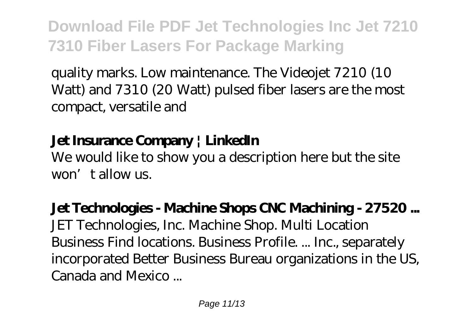quality marks. Low maintenance. The Videojet 7210 (10 Watt) and 7310 (20 Watt) pulsed fiber lasers are the most compact, versatile and

### **Jet Insurance Company | LinkedIn**

We would like to show you a description here but the site won't allow us.

# **Jet Technologies - Machine Shops CNC Machining - 27520 ...**

JET Technologies, Inc. Machine Shop. Multi Location Business Find locations. Business Profile. ... Inc., separately incorporated Better Business Bureau organizations in the US, Canada and Mexico ...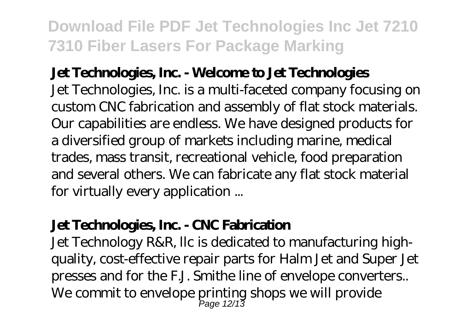#### **Jet Technologies, Inc. - Welcome to Jet Technologies**

Jet Technologies, Inc. is a multi-faceted company focusing on custom CNC fabrication and assembly of flat stock materials. Our capabilities are endless. We have designed products for a diversified group of markets including marine, medical trades, mass transit, recreational vehicle, food preparation and several others. We can fabricate any flat stock material for virtually every application ...

#### **Jet Technologies, Inc. - CNC Fabrication**

Jet Technology R&R, llc is dedicated to manufacturing highquality, cost-effective repair parts for Halm Jet and Super Jet presses and for the F.J. Smithe line of envelope converters.. We commit to envelope printing shops we will provide Page 12/13